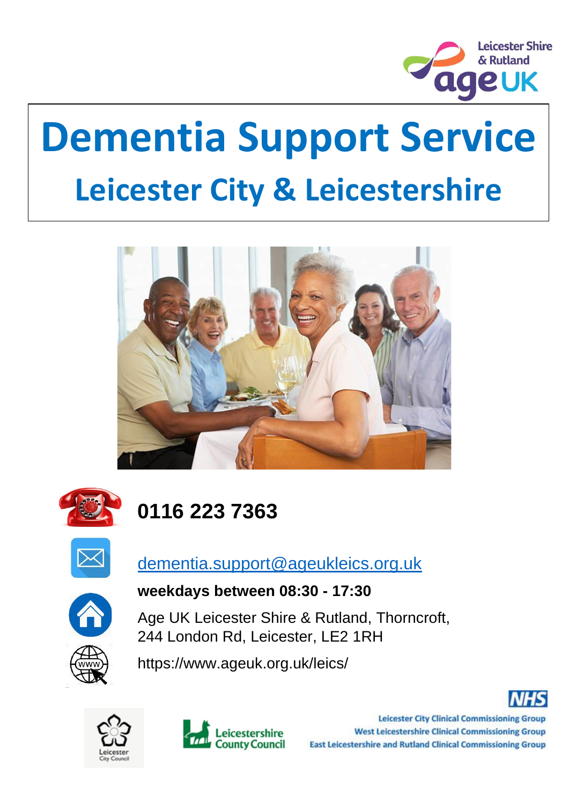

# **Dementia Support Service Leicester City & Leicestershire**





# **0116 223 7363**



## [dementia.support@ageukleics.org.uk](mailto:dementia.support@ageukleics.org.uk)



#### **weekdays between 08:30 - 17:30**

Age UK Leicester Shire & Rutland, Thorncroft, 244 London Rd, Leicester, LE2 1RH



https://www.ageuk.org.uk/leics/





**Leicester City Clinical Commissioning Group West Leicestershire Clinical Commissioning Group East Leicestershire and Rutland Clinical Commissioning Group**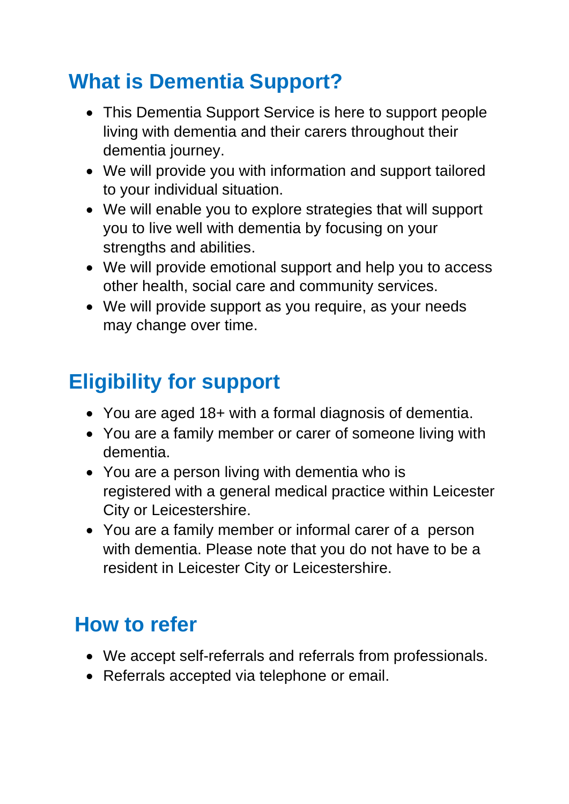## **What is Dementia Support?**

- This Dementia Support Service is here to support people living with dementia and their carers throughout their dementia journey.
- We will provide you with information and support tailored to your individual situation.
- We will enable you to explore strategies that will support you to live well with dementia by focusing on your strengths and abilities.
- We will provide emotional support and help you to access other health, social care and community services.
- We will provide support as you require, as your needs may change over time.

## **Eligibility for support**

- You are aged 18+ with a formal diagnosis of dementia.
- You are a family member or carer of someone living with dementia.
- You are a person living with dementia who is registered with a general medical practice within Leicester City or Leicestershire.
- You are a family member or informal carer of a person with dementia. Please note that you do not have to be a resident in Leicester City or Leicestershire.

## **How to refer**

- We accept self-referrals and referrals from professionals.
- Referrals accepted via telephone or email.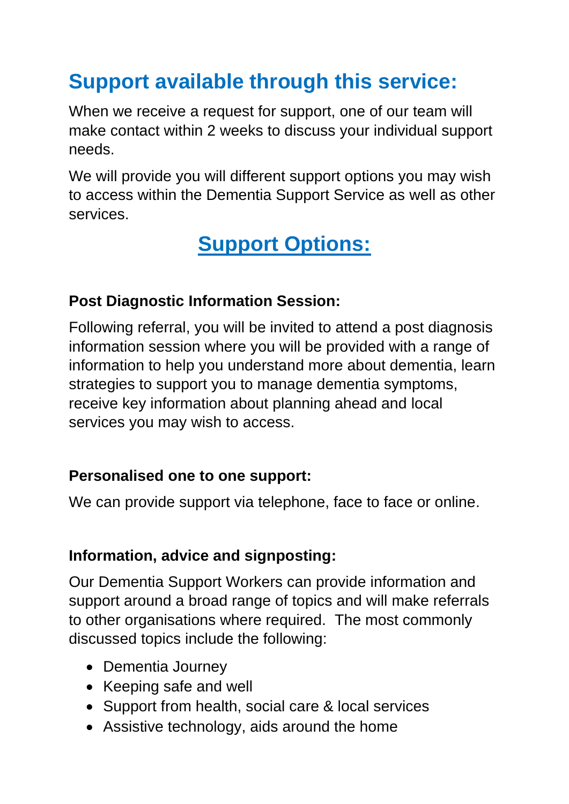## **Support available through this service:**

When we receive a request for support, one of our team will make contact within 2 weeks to discuss your individual support needs.

We will provide you will different support options you may wish to access within the Dementia Support Service as well as other services.

## **Support Options:**

#### **Post Diagnostic Information Session:**

Following referral, you will be invited to attend a post diagnosis information session where you will be provided with a range of information to help you understand more about dementia, learn strategies to support you to manage dementia symptoms, receive key information about planning ahead and local services you may wish to access.

#### **Personalised one to one support:**

We can provide support via telephone, face to face or online.

#### **Information, advice and signposting:**

Our Dementia Support Workers can provide information and support around a broad range of topics and will make referrals to other organisations where required. The most commonly discussed topics include the following:

- Dementia Journey
- Keeping safe and well
- Support from health, social care & local services
- Assistive technology, aids around the home